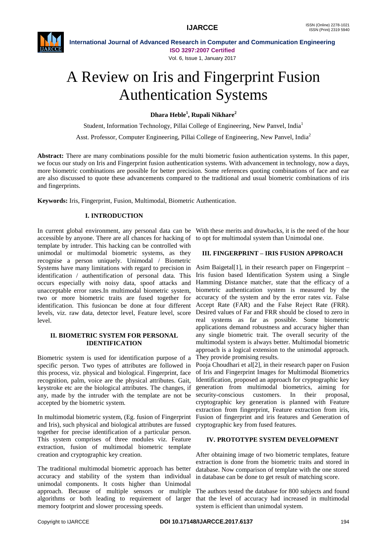

**International Journal of Advanced Research in Computer and Communication Engineering ISO 3297:2007 Certified**

Vol. 6, Issue 1, January 2017

# A Review on Iris and Fingerprint Fusion Authentication Systems

**Dhara Heble<sup>1</sup> , Rupali Nikhare<sup>2</sup>**

Student, Information Technology, Pillai College of Engineering, New Panvel, India<sup>1</sup>

Asst. Professor, Computer Engineering, Pillai College of Engineering, New Panvel, India<sup>2</sup>

**Abstract:** There are many combinations possible for the multi biometric fusion authentication systems. In this paper, we focus our study on Iris and Fingerprint fusion authentication systems. With advancement in technology, now a days, more biometric combinations are possible for better precision. Some references quoting combinations of face and ear are also discussed to quote these advancements compared to the traditional and usual biometric combinations of iris and fingerprints.

**Keywords:** Iris, Fingerprint, Fusion, Multimodal, Biometric Authentication.

# **I. INTRODUCTION**

In current global environment, any personal data can be With these merits and drawbacks, it is the need of the hour accessible by anyone. There are all chances for hacking of to opt for multimodal system than Unimodal one. template by intruder. This hacking can be controlled with unimodal or multimodal biometric systems, as they recognise a person uniquely. Unimodal / Biometric Systems have many limitations with regard to precision in identification / authentification of personal data. This occurs especially with noisy data, spoof attacks and unacceptable error rates.In multimodal biometric system, two or more biometric traits are fused together for identification. This fusioncan be done at four different levels, viz. raw data, detector level, Feature level, score level.

### **II. BIOMETRIC SYSTEM FOR PERSONAL IDENTIFICATION**

Biometric system is used for identification purpose of a specific person. Two types of attributes are followed in this process, viz. physical and biological. Fingerprint, face recognition, palm, voice are the physical attributes. Gait, keystroke etc are the biological attributes. The changes, if any, made by the intruder with the template are not be security-conscious customers. In their proposal, accepted by the biometric system.

In multimodal biometric system, (Eg. fusion of Fingerprint Fusion of fingerprint and iris features and Generation of and Iris), such physical and biological attributes are fussed together for precise identification of a particular person. This system comprises of three modules viz. Feature extraction, fusion of multimodal biometric template creation and cryptographic key creation.

The traditional multimodal biometric approach has better accuracy and stability of the system than individual unimodal components. It costs higher than Unimodal approach. Because of multiple sensors or multiple algorithms or both leading to requirement of larger memory footprint and slower processing speeds.

## **III. FINGERPRINT – IRIS FUSION APPROACH**

Asim Baigetal[1], in their research paper on Fingerprint – Iris fusion based Identification System using a Single Hamming Distance matcher, state that the efficacy of a biometric authentication system is measured by the accuracy of the system and by the error rates viz. False Accept Rate (FAR) and the False Reject Rate (FRR). Desired values of Far and FRR should be closed to zero in real systems as far as possible. Some biometric applications demand robustness and accuracy higher than any single biometric trait. The overall security of the multimodal system is always better. Multimodal biometric approach is a logical extension to the unimodal approach. They provide promising results.

Pooja Choudhari et al[2], in their research paper on Fusion of Iris and Fingerprint Images for Multimodal Biometrics Identification, proposed an approach for cryptographic key generation from multimodal biometrics, aiming for cryptographic key generation is planned with Feature extraction from fingerprint, Feature extraction from iris, cryptographic key from fused features.

### **IV. PROTOTYPE SYSTEM DEVELOPMENT**

After obtaining image of two biometric templates, feature extraction is done from the biometric traits and stored in database. Now comparison of template with the one stored in database can be done to get result of matching score.

The authors tested the database for 800 subjects and found that the level of accuracy had increased in multimodal system is efficient than unimodal system.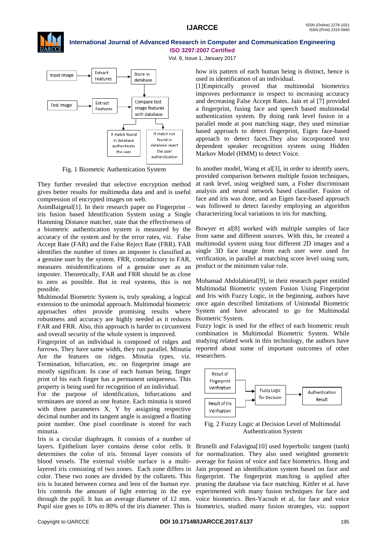

#### **International Journal of Advanced Research in Computer and Communication Engineering ISO 3297:2007 Certified**

Vol. 6, Issue 1, January 2017



Fig. 1 Biometric Authentication System

They further revealed that selective encryption method gives better results for multimedia data and and is useful compression of encrypted images on web.

AsimBaigetal[1]. In their research paper on Fingerprint – iris fusion based Identification System using a Single Hamming Distance matcher, state that the effectiveness of a biometric authentication system is measured by the accuracy of the system and by the error rates, viz. False Accept Rate (FAR) and the False Reject Rate (FRR). FAR identifies the number of times an imposter is classified as a genuine user by the system. FRR, contradictory to FAR, measures misidentifications of a genuine user as an imposter. Theoretically, FAR and FRR should be as close to zero as possible. But in real systems, this is not possible.

Multimodal Biometric System is, truly speaking, a logical extension to the unimodal approach. Multimodal biometric approaches often provide promising results where robustness and accuracy are highly needed as it reduces Biometric System. FAR and FRR. Also, this approach is harder to circumvent Fuzzy logic is used for the effect of each biometric result and overall security of the whole system is improved.

Fingerprint of an individual is composed of ridges and furrows. They have same width, they run parallel. Minutia Are the features on ridges. Minutia types, viz. Termination, bifurcation, etc. on fingerprint image are mostly significant. In case of each human being, finger print of his each finger has a permanent uniqueness. This property is being used for recognition of an individual.

For the purpose of identification, bifurcations and terminates are stored as one feature. Each minutia is stored with three parameters X, Y by assigning respective decimal number and its tangent angle is assigned a floating point number. One pixel coordinate is stored for each minutia.

Iris is a circular diaphragm. It consists of a number of layers. Epithelium layer contains dense color cells. It Brunelli and Falavigna[10] used hyperbolic tangent (tanh) determines the color of iris. Stromal layer consists of for normalization. They also used weighted geometric blood vessels. The external visible surface is a multilayered iris consisting of two zones. Each zone differs in Jain proposed an identification system based on face and color. These two zones are divided by the collarets. This fingerprint. The fingerprint matching is applied after iris is located between cornea and lens of the human eye. pruning the database via face matching. Kittler et al. have Iris controls the amount of light entering in the eye experimented with many fusion techniques for face and through the pupil. It has an average diameter of 12 mm. voice biometrics. Ben-Yacoub et al, for face and voice

how iris pattern of each human being is distinct, hence is used in identification of an individual.

[1]Empirically proved that multimodal biometrics improves performance in respect to increasing accuracy and decreasing False Accept Rates. Jain et al [7] provided a fingerprint, fusing face and speech based multimodal authentication system. By doing rank level fusion in a parallel mode at post matching stage, they used minutiae based approach to detect fingerprint, Eigen face-based approach to detect faces.They also incorporated text dependent speaker recognition system using Hidden Markov Model (HMM) to detect Voice.

In another model, Wang et al[3], in order to identify users, provided comparison between multiple fusion techniques, at rank level, using weighted sum, a Fisher discriminant analysis and neural network based classifier. Fusion of face and iris was done, and an Eigen face-based approach was followed to detect facesby employing an algorithm characterizing local variations in iris for matching.

Bowyer et al[8] worked with multiple samples of face from same and different sources. With this, he created a multimodal system using four different 2D images and a single 3D face image from each user were used for verification, in parallel at matching score level using sum, product or the minimum value rule.

Mohamad Abdolahietal[9], in their research paper entitled Multimodal Biometric system Fusion Using Fingerprint and Iris with Fuzzy Logic, in the beginning, authors have once again described limitations of Unimodal Biometric System and have advocated to go for Multimodal

combination in Multimodal Biometric System. While studying related work in this technology, the authors have reported about some of important outcomes of other researchers.



Fig. 2 Fuzzy Logic at Decision Level of Multimodal Authentication System

Pupil size goes to 10% to 80% of the iris diameter. This is biometrics, studied many fusion strategies, viz. support average for fusion of voice and face biometrics. Hong and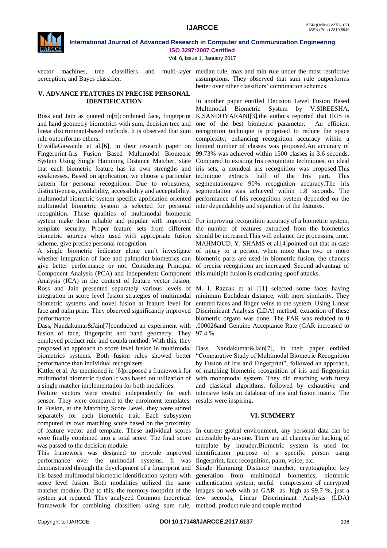

### **International Journal of Advanced Research in Computer and Communication Engineering ISO 3297:2007 Certified**

Vol. 6, Issue 1, January 2017

vector machines, tree classifiers and perception, and Bayes classifier.

#### **V. ADVANCE FEATURES IN PRECISE PERSONAL IDENTIFICATION**

Ross and Jain as quoted in[6]combined face, fingerprint and hand geometry biometrics with sum, decision tree and linear discriminant-based methods. It is observed that sum rule outperforms others.

UjwallaGawande et al.[6], in their research paper on Fingerprint-Iris Fusion Based Multimodal Biometric System Using Single Hamming Distance Matcher, state that **e**ach biometric feature has its own strengths and weaknesses. Based on application, we choose a particular pattern for personal recognition. Due to robustness, distinctiveness, availability, accessibility and acceptability, multimodal biometric system specific application oriented multimodal biometric system is selected for personal recognition. These qualities of multimodal biometric system make them reliable and popular with improved For improving recognition accuracy of a biometric system, template security. Proper feature sets from different biometric sources when used with appropriate fusion scheme, give precise personal recognition.

A single biometric indicator alone can't investigate whether integration of face and palmprint biometrics can give better performance or not. Considering Principal Component Analysis (PCA) and Independent Component Analysis (ICA) in the context of feature vector fusion, Ross and Jain presented separately various levels of integration in score level fusion strategies of multimodal biometric systems and novel fusion at feature level for face and palm print. They observed significantly improved performance.

Dass, Nandakumar&Jain[7]conducted an experiment with fusion of face, fingerprint and hand geometry. They employed product rule and coupla method. With this, they proposed an approach to score level fusion in multimodal Dass, Nandakumar&Jain[7], in their paper entitled biometrics systems. Both fusion rules showed better performance than individual recognizers.

Kittler et al. As mentioned in [6]proposed a framework for multimodal biometric fusion.It was based on utilization of a single matcher implementation for both modalities.

Feature vectors were created independently for each sensor. They were compared to the enrolment templates. In Fusion, at the Matching Score Level, they were stored separately for each biometric trait. Each subsystem computed its own matching score based on the proximity of feature vector and template. These individual scores In current global environment, any personal data can be were finally combined into a total score. The final score was passed to the decision module.

This framework was designed to provide improved performance over the unimodal systems. It was demonstrated through the development of a fingerprint and iris based multimodal biometric identification system with score level fusion. Both modalities utilized the same matcher module. Due to this, the memory footprint of the images on web with an GAR as high as 99.7 %, just a system got reduced. They analyzed Common theoretical few seconds, Linear Discriminant Analysis (LDA) framework for combining classifiers using sum rule, method, product rule and couple method

multi-laver median rule, max and min rule under the most restrictive assumptions. They observed that sum rule outperforms better over other classifiers' combination schemes.

> In another paper entitled Decision Level Fusion Based Multimodal Biometric System by V.SIREESHA, K.SANDHYARANI[3],the authors reported that IRIS is one of the best biometric parameter. An efficient recognition technique is proposed to reduce the space complexity; enhancing recognition accuracy within a limited number of classes was proposed.An accuracy of 99.73% was achieved within 1500 classes in 3.6 seconds. Compared to existing Iris recognition techniques, on ideal iris sets, a nonideal iris recognition was proposed.This technique extracts half of the Iris part. This segmentationgave 90% recognition accuracy.The iris segmentation was achieved within 1.8 seconds. The performance of Iris recognition system depended on the inter dependability and separation of the features.

> the number of features extracted from the biometrics should be increased.This will enhance the processing time. MAHMOUD. Y. SHAMS et al.[4]pointed out that in case of injury to a person, when more than two or more biometric parts are used in biometric fusion, the chances of precise recognition are increased. Second advantage of this multiple fusion is eradicating spoof attacks.

> M. I. Razzak et al [11] selected some faces having minimum Euclidean distance, with more similarity. They entered faces and finger veins to the system. Using Linear Discriminant Analysis (LDA) method, extraction of these biometric organs was done. The FAR was reduced to 0 .000026and Genuine Acceptance Rate (GAR increased to 97.4 %.

> "Comparative Study of Multimodal Biometric Recognition by Fusion of Iris and Fingerprint", followed an approach, of matching biometric recognition of iris and fingerprint with monomodal system. They did matching with fuzzy and classical algorithms, followed by exhaustive and intensive tests on database of iris and fusion matrix. The results were inspiring.

#### **VI. SUMMERY**

accessible by anyone. There are all chances for hacking of template by intruder.Biometric system is used for identification purpose of a specific person using fingerprint, face recognition, palm, voice, etc.

Single Hamming Distance matcher, cryptographic key generation from multimodal biometrics, biometric authentication system, useful compression of encrypted